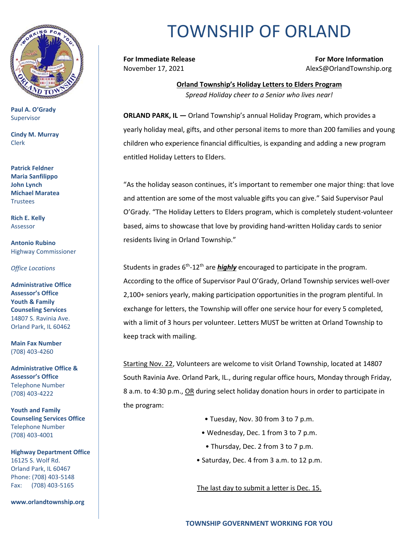

**Paul A. O'Grady** Supervisor

**Cindy M. Murray** Clerk

**Patrick Feldner Maria Sanfilippo John Lynch Michael Maratea Trustees** 

**Rich E. Kelly** Assessor

**Antonio Rubino** Highway Commissioner

*Office Locations*

**Administrative Office Assessor's Office Youth & Family Counseling Services** 14807 S. Ravinia Ave. Orland Park, IL 60462

**Main Fax Number**  (708) 403-4260

**Administrative Office & Assessor's Office**  Telephone Number (708) 403-4222

**Youth and Family Counseling Services Office**  Telephone Number (708) 403-4001

**Highway Department Office** 16125 S. Wolf Rd. Orland Park, IL 60467 Phone: (708) 403-5148 Fax: (708) 403-5165

**www.orlandtownship.org**

## TOWNSHIP OF ORLAND

**For Immediate Release For More Information** November 17, 2021 AlexS@OrlandTownship.org

> **Orland Township's Holiday Letters to Elders Program** *Spread Holiday cheer to a Senior who lives near!*

**ORLAND PARK, IL —** Orland Township's annual Holiday Program, which provides a yearly holiday meal, gifts, and other personal items to more than 200 families and young children who experience financial difficulties, is expanding and adding a new program entitled Holiday Letters to Elders.

"As the holiday season continues, it's important to remember one major thing: that love and attention are some of the most valuable gifts you can give." Said Supervisor Paul O'Grady. "The Holiday Letters to Elders program, which is completely student-volunteer based, aims to showcase that love by providing hand-written Holiday cards to senior residents living in Orland Township."

Students in grades 6<sup>th</sup>-12<sup>th</sup> are *highly* encouraged to participate in the program. According to the office of Supervisor Paul O'Grady, Orland Township services well-over 2,100+ seniors yearly, making participation opportunities in the program plentiful. In exchange for letters, the Township will offer one service hour for every 5 completed, with a limit of 3 hours per volunteer. Letters MUST be written at Orland Township to keep track with mailing.

Starting Nov. 22, Volunteers are welcome to visit Orland Township, located at 14807 South Ravinia Ave. Orland Park, IL., during regular office hours, Monday through Friday, 8 a.m. to 4:30 p.m., OR during select holiday donation hours in order to participate in the program:

- Tuesday, Nov. 30 from 3 to 7 p.m.
- Wednesday, Dec. 1 from 3 to 7 p.m.
- Thursday, Dec. 2 from 3 to 7 p.m.
- Saturday, Dec. 4 from 3 a.m. to 12 p.m.

The last day to submit a letter is Dec. 15.

**TOWNSHIP GOVERNMENT WORKING FOR YOU**